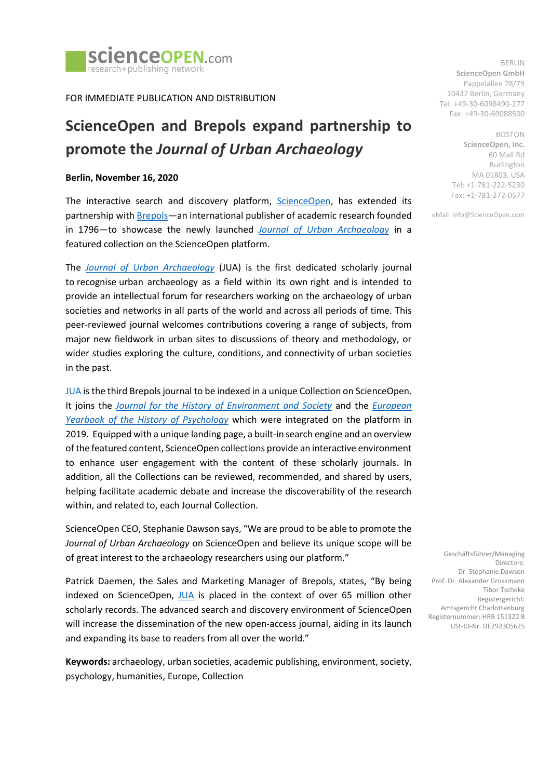

FOR IMMEDIATE PUBLICATION AND DISTRIBUTION

# **ScienceOpen and Brepols expand partnership to promote the** *Journal of Urban Archaeology*

#### **Berlin, November 16, 2020**

The interactive search and discovery platform, [ScienceOpen,](file:///C:/Users/ScienceOpen%20Laptop/AppData/Local/Packages/microsoft.windowscommunicationsapps_8wekyb3d8bbwe/LocalState/Files/S0/3/Attachments/scienceopen.com) has extended its partnership wit[h Brepols](http://www.brepols.net/Pages/Home.aspx)—an international publisher of academic research founded in 1796—to showcase the newly launched *[Journal of Urban Archaeology](https://doi.org/10.14293/S2199-1006.1.SOR-SOCSCI.CLLWUE9.v1)* in a featured collection on the ScienceOpen platform.

The *[Journal of Urban Archaeology](https://doi.org/10.14293/S2199-1006.1.SOR-SOCSCI.CLLWUE9.v1)* (JUA) is the first dedicated scholarly journal to recognise urban archaeology as a field within its own right and is intended to provide an intellectual forum for researchers working on the archaeology of urban societies and networks in all parts of the world and across all periods of time. This peer-reviewed journal welcomes contributions covering a range of subjects, from major new fieldwork in urban sites to discussions of theory and methodology, or wider studies exploring the culture, conditions, and connectivity of urban societies in the past.

[JUA](https://doi.org/10.14293/S2199-1006.1.SOR-SOCSCI.CLLWUE9.v1) is the third Brepols journal to be indexed in a unique Collection on ScienceOpen. It joins the *[Journal for the History of Environment and Society](https://doi.org/10.14293/S2199-1006.1.SOR-EARTH.CLSJKQM.v1)* and the *[European](https://doi.org/10.14293/S2199-1006.1.SOR-SOCSCI.CL5AIRS.v1)  [Yearbook of the History of Psychology](https://doi.org/10.14293/S2199-1006.1.SOR-SOCSCI.CL5AIRS.v1)* which were integrated on the platform in 2019. Equipped with a unique landing page, a built-in search engine and an overview of the featured content, ScienceOpen collections provide an interactive environment to enhance user engagement with the content of these scholarly journals. In addition, all the Collections can be reviewed, recommended, and shared by users, helping facilitate academic debate and increase the discoverability of the research within, and related to, each Journal Collection.

ScienceOpen CEO, Stephanie Dawson says, "We are proud to be able to promote the *Journal of Urban Archaeology* on ScienceOpen and believe its unique scope will be of great interest to the archaeology researchers using our platform."

Patrick Daemen, the Sales and Marketing Manager of Brepols, states, "By being indexed on ScienceOpen, [JUA](https://doi.org/10.14293/S2199-1006.1.SOR-SOCSCI.CLLWUE9.v1) is placed in the context of over 65 million other scholarly records. The advanced search and discovery environment of ScienceOpen will increase the dissemination of the new open-access journal, aiding in its launch and expanding its base to readers from all over the world."

**Keywords:** archaeology, urban societies, academic publishing, environment, society, psychology, humanities, Europe, Collection

BERLIN **ScienceOpen GmbH** Pappelallee 78/79 10437 Berlin, Germany Tel: +49-30-6098490-277 Fax: +49-30-69088500

> BOSTON **ScienceOpen, Inc.** 60 Mall Rd Burlington MA 01803, USA Tel: +1-781-222-5230 Fax: +1-781-272-0577

eMail: info@ScienceOpen.com

Geschäftsführer/Managing Directors: Dr. Stephanie Dawson Prof. Dr. Alexander Grossmann Tibor Tscheke Registergericht: Amtsgericht Charlottenburg Registernummer: HRB 151322 B USt-ID-Nr. DE292305625